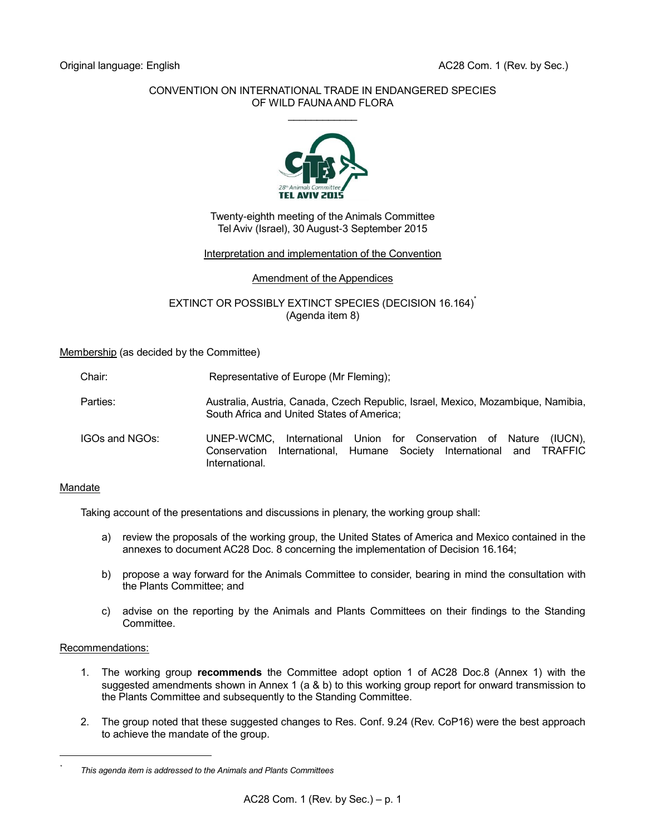# CONVENTION ON INTERNATIONAL TRADE IN ENDANGERED SPECIES OF WILD FAUNA AND FLORA  $\mathcal{L}$  . The set of the set of the set of the set of the set of the set of the set of the set of the set of the set of the set of the set of the set of the set of the set of the set of the set of the set of the set of t



Twenty-eighth meeting of the Animals Committee Tel Aviv (Israel), 30 August-3 September 2015

# Interpretation and implementation of the Convention

# Amendment of the Appendices

EXTINCT OR POSSIBLY EXTINCT SPECIES (DECISION 16.164)<sup>\*</sup> (Agenda item 8)

Membership (as decided by the Committee)

| Chair: | Representative of Europe (Mr Fleming); |
|--------|----------------------------------------|
|--------|----------------------------------------|

- Parties: Australia, Australia, Canada, Czech Republic, Israel, Mexico, Mozambique, Namibia, South Africa and United States of America;
- IGOs and NGOs: UNEP-WCMC, International Union for Conservation of Nature (IUCN), Conservation International, Humane Society International and TRAFFIC International.

# Mandate

Taking account of the presentations and discussions in plenary, the working group shall:

- a) review the proposals of the working group, the United States of America and Mexico contained in the annexes to document AC28 Doc. 8 concerning the implementation of Decision 16.164;
- b) propose a way forward for the Animals Committee to consider, bearing in mind the consultation with the Plants Committee; and
- c) advise on the reporting by the Animals and Plants Committees on their findings to the Standing Committee.

# Recommendations:

l *\**

- 1. The working group **recommends** the Committee adopt option 1 of AC28 Doc.8 (Annex 1) with the suggested amendments shown in Annex 1 (a & b) to this working group report for onward transmission to the Plants Committee and subsequently to the Standing Committee.
- 2. The group noted that these suggested changes to Res. Conf. 9.24 (Rev. CoP16) were the best approach to achieve the mandate of the group.

*This agenda item is addressed to the Animals and Plants Committees*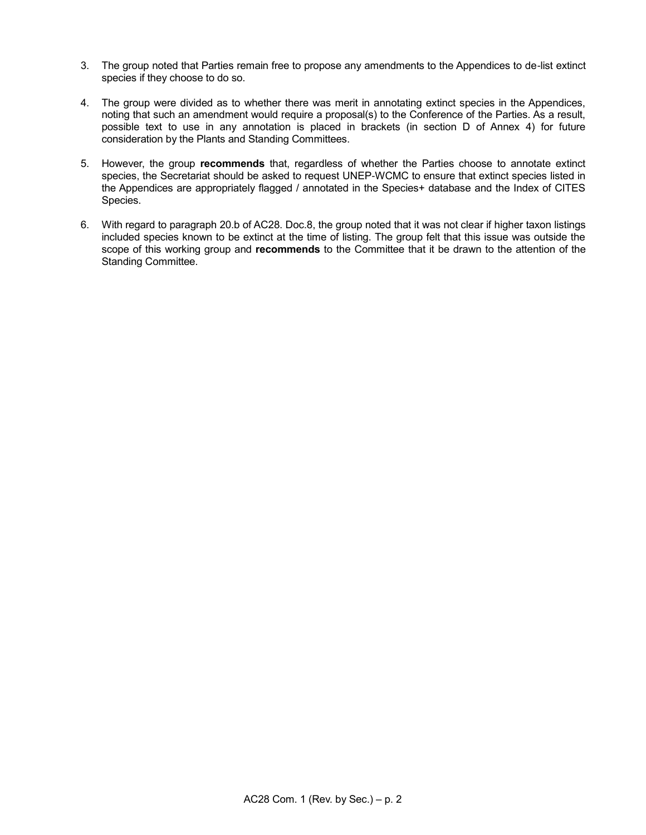- 3. The group noted that Parties remain free to propose any amendments to the Appendices to de-list extinct species if they choose to do so.
- 4. The group were divided as to whether there was merit in annotating extinct species in the Appendices, noting that such an amendment would require a proposal(s) to the Conference of the Parties. As a result, possible text to use in any annotation is placed in brackets (in section D of Annex 4) for future consideration by the Plants and Standing Committees.
- 5. However, the group **recommends** that, regardless of whether the Parties choose to annotate extinct species, the Secretariat should be asked to request UNEP-WCMC to ensure that extinct species listed in the Appendices are appropriately flagged / annotated in the Species+ database and the Index of CITES Species.
- 6. With regard to paragraph 20.b of AC28. Doc.8, the group noted that it was not clear if higher taxon listings included species known to be extinct at the time of listing. The group felt that this issue was outside the scope of this working group and **recommends** to the Committee that it be drawn to the attention of the Standing Committee.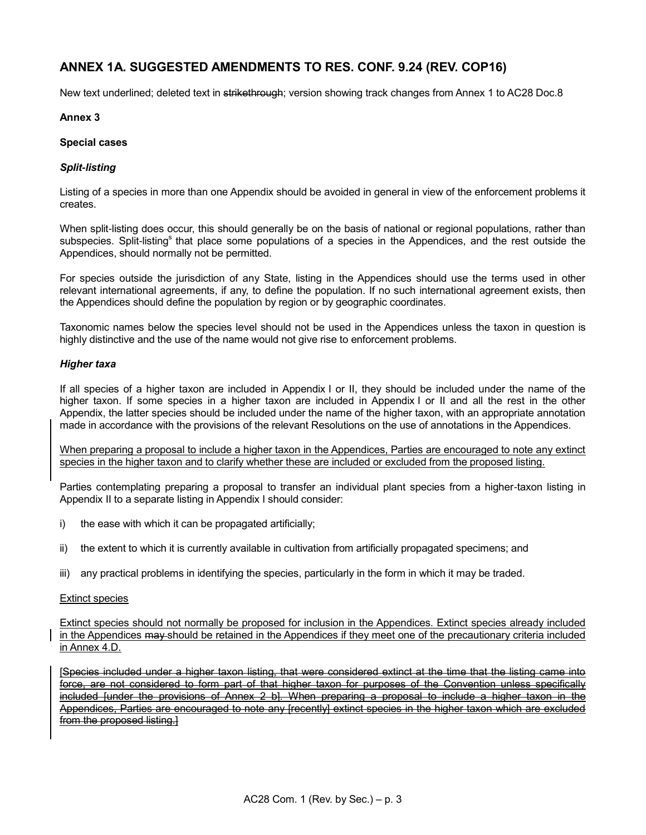# **ANNEX 1A. SUGGESTED AMENDMENTS TO RES. CONF. 9.24 (REV. COP16)**

New text underlined; deleted text in strikethrough; version showing track changes from Annex 1 to AC28 Doc.8

# **Annex 3**

# **Special cases**

# *Split-listing*

Listing of a species in more than one Appendix should be avoided in general in view of the enforcement problems it creates.

When split-listing does occur, this should generally be on the basis of national or regional populations, rather than subspecies. Split-listing<sup>s</sup> that place some populations of a species in the Appendices, and the rest outside the Appendices, should normally not be permitted.

For species outside the jurisdiction of any State, listing in the Appendices should use the terms used in other relevant international agreements, if any, to define the population. If no such international agreement exists, then the Appendices should define the population by region or by geographic coordinates.

Taxonomic names below the species level should not be used in the Appendices unless the taxon in question is highly distinctive and the use of the name would not give rise to enforcement problems.

# *Higher taxa*

If all species of a higher taxon are included in Appendix I or II, they should be included under the name of the higher taxon. If some species in a higher taxon are included in Appendix I or II and all the rest in the other Appendix, the latter species should be included under the name of the higher taxon, with an appropriate annotation made in accordance with the provisions of the relevant Resolutions on the use of annotations in the Appendices.

When preparing a proposal to include a higher taxon in the Appendices, Parties are encouraged to note any extinct species in the higher taxon and to clarify whether these are included or excluded from the proposed listing.

Parties contemplating preparing a proposal to transfer an individual plant species from a higher-taxon listing in Appendix II to a separate listing in Appendix I should consider:

- i) the ease with which it can be propagated artificially;
- ii) the extent to which it is currently available in cultivation from artificially propagated specimens; and
- iii) any practical problems in identifying the species, particularly in the form in which it may be traded.

# Extinct species

Extinct species should not normally be proposed for inclusion in the Appendices. Extinct species already included in the Appendices may should be retained in the Appendices if they meet one of the precautionary criteria included in Annex 4.D.

[Species included under a higher taxon listing, that were considered extinct at the time that the listing came into force, are not considered to form part of that higher taxon for purposes of the Convention unless specifically included funder the provisions of Annex 2 b]. When preparing a proposal to include a higher taxon in the Appendices, Parties are encouraged to note any [recently] extinct species in the higher taxon which are excluded from the proposed listing.]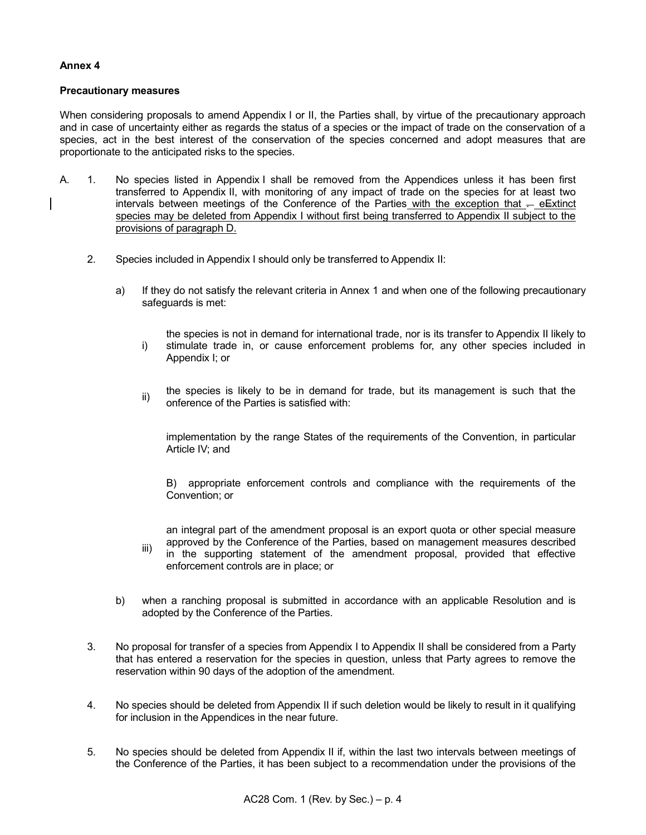# **Annex 4**

# **Precautionary measures**

When considering proposals to amend Appendix I or II, the Parties shall, by virtue of the precautionary approach and in case of uncertainty either as regards the status of a species or the impact of trade on the conservation of a species, act in the best interest of the conservation of the species concerned and adopt measures that are proportionate to the anticipated risks to the species.

- A. 1. No species listed in Appendix I shall be removed from the Appendices unless it has been first transferred to Appendix II, with monitoring of any impact of trade on the species for at least two intervals between meetings of the Conference of the Parties with the exception that  $-$  e $\equiv$ xtinct species may be deleted from Appendix I without first being transferred to Appendix II subject to the provisions of paragraph D.
	- 2. Species included in Appendix I should only be transferred to Appendix II:
		- a) If they do not satisfy the relevant criteria in Annex 1 and when one of the following precautionary safeguards is met:
			- i) the species is not in demand for international trade, nor is its transfer to Appendix II likely to stimulate trade in, or cause enforcement problems for, any other species included in Appendix I; or
			- ii) the species is likely to be in demand for trade, but its management is such that the onference of the Parties is satisfied with:

implementation by the range States of the requirements of the Convention, in particular Article IV; and

B) appropriate enforcement controls and compliance with the requirements of the Convention; or

an integral part of the amendment proposal is an export quota or other special measure approved by the Conference of the Parties, based on management measures described

- iii) in the supporting statement of the amendment proposal, provided that effective enforcement controls are in place; or
- b) when a ranching proposal is submitted in accordance with an applicable Resolution and is adopted by the Conference of the Parties.
- 3. No proposal for transfer of a species from Appendix I to Appendix II shall be considered from a Party that has entered a reservation for the species in question, unless that Party agrees to remove the reservation within 90 days of the adoption of the amendment.
- 4. No species should be deleted from Appendix II if such deletion would be likely to result in it qualifying for inclusion in the Appendices in the near future.
- 5. No species should be deleted from Appendix II if, within the last two intervals between meetings of the Conference of the Parties, it has been subject to a recommendation under the provisions of the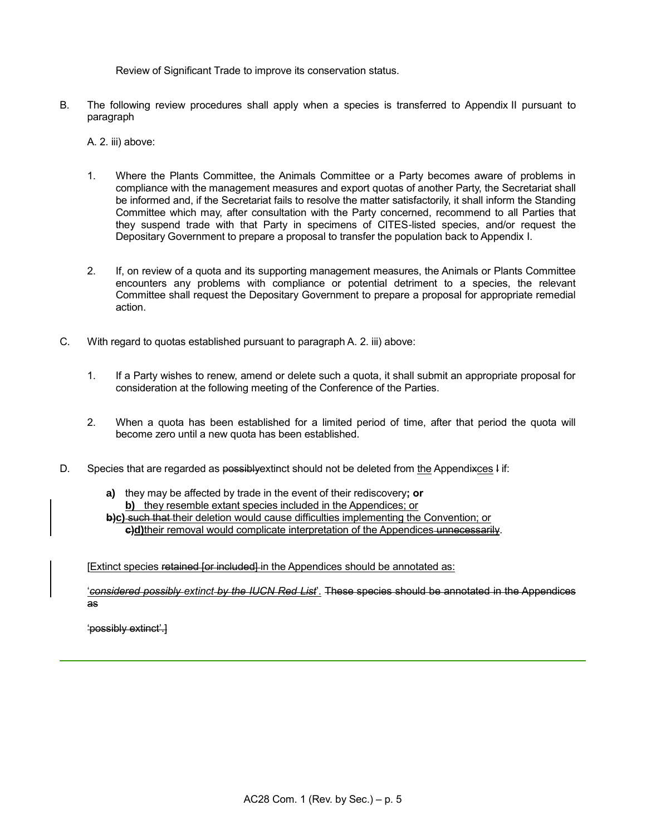Review of Significant Trade to improve its conservation status.

B. The following review procedures shall apply when a species is transferred to Appendix II pursuant to paragraph

A. 2. iii) above:

- 1. Where the Plants Committee, the Animals Committee or a Party becomes aware of problems in compliance with the management measures and export quotas of another Party, the Secretariat shall be informed and, if the Secretariat fails to resolve the matter satisfactorily, it shall inform the Standing Committee which may, after consultation with the Party concerned, recommend to all Parties that they suspend trade with that Party in specimens of CITES-listed species, and/or request the Depositary Government to prepare a proposal to transfer the population back to Appendix I.
- 2. If, on review of a quota and its supporting management measures, the Animals or Plants Committee encounters any problems with compliance or potential detriment to a species, the relevant Committee shall request the Depositary Government to prepare a proposal for appropriate remedial action.
- C. With regard to quotas established pursuant to paragraph A. 2. iii) above:
	- 1. If a Party wishes to renew, amend or delete such a quota, it shall submit an appropriate proposal for consideration at the following meeting of the Conference of the Parties.
	- 2. When a quota has been established for a limited period of time, after that period the quota will become zero until a new quota has been established.
- D. Species that are regarded as possibly extinct should not be deleted from the Appendixces I if:
	- **a)** they may be affected by trade in the event of their rediscovery**; or b)** they resemble extant species included in the Appendices; or **b)c)** such that their deletion would cause difficulties implementing the Convention; or

**c)d)**their removal would complicate interpretation of the Appendices unnecessarily.

[Extinct species retained for included] in the Appendices should be annotated as:

'*considered possibly extinct by the IUCN Red List*'. These species should be annotated in the Appendices as

'possibly extinct'.]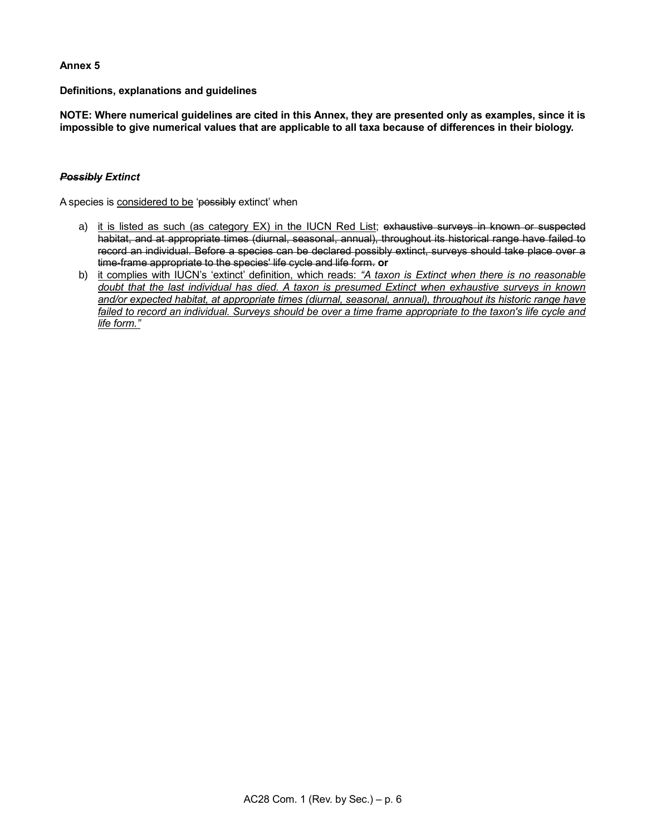# **Annex 5**

**Definitions, explanations and guidelines**

**NOTE: Where numerical guidelines are cited in this Annex, they are presented only as examples, since it is impossible to give numerical values that are applicable to all taxa because of differences in their biology.**

# *Possibly Extinct*

A species is considered to be 'possibly extinct' when

- a) it is listed as such (as category EX) in the IUCN Red List; exhaustive surveys in known or suspected habitat, and at appropriate times (diurnal, seasonal, annual), throughout its historical range have failed to record an individual. Before a species can be declared possibly extinct, surveys should take place over a time-frame appropriate to the species' life cycle and life form. **or**
- b) it complies with IUCN's 'extinct' definition, which reads: *"A taxon is Extinct when there is no reasonable doubt that the last individual has died. A taxon is presumed Extinct when exhaustive surveys in known and/or expected habitat, at appropriate times (diurnal, seasonal, annual), throughout its historic range have*  failed to record an individual. Surveys should be over a time frame appropriate to the taxon's life cycle and *life form."*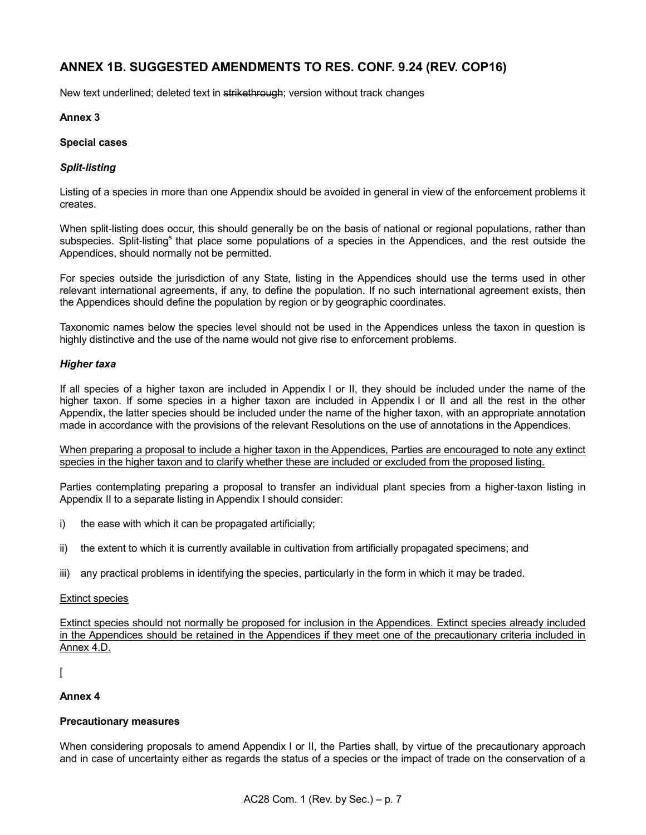# **ANNEX 1B. SUGGESTED AMENDMENTS TO RES. CONF. 9.24 (REV. COP16)**

New text underlined; deleted text in strikethrough; version without track changes

# **Annex 3**

# **Special cases**

# *Split-listing*

Listing of a species in more than one Appendix should be avoided in general in view of the enforcement problems it creates.

When split-listing does occur, this should generally be on the basis of national or regional populations, rather than subspecies. Split-listing<sup>s</sup> that place some populations of a species in the Appendices, and the rest outside the Appendices, should normally not be permitted.

For species outside the jurisdiction of any State, listing in the Appendices should use the terms used in other relevant international agreements, if any, to define the population. If no such international agreement exists, then the Appendices should define the population by region or by geographic coordinates.

Taxonomic names below the species level should not be used in the Appendices unless the taxon in question is highly distinctive and the use of the name would not give rise to enforcement problems.

#### *Higher taxa*

If all species of a higher taxon are included in Appendix I or II, they should be included under the name of the higher taxon. If some species in a higher taxon are included in Appendix I or II and all the rest in the other Appendix, the latter species should be included under the name of the higher taxon, with an appropriate annotation made in accordance with the provisions of the relevant Resolutions on the use of annotations in the Appendices.

When preparing a proposal to include a higher taxon in the Appendices, Parties are encouraged to note any extinct species in the higher taxon and to clarify whether these are included or excluded from the proposed listing.

Parties contemplating preparing a proposal to transfer an individual plant species from a higher-taxon listing in Appendix II to a separate listing in Appendix I should consider:

- i) the ease with which it can be propagated artificially;
- ii) the extent to which it is currently available in cultivation from artificially propagated specimens; and
- iii) any practical problems in identifying the species, particularly in the form in which it may be traded.

#### Extinct species

Extinct species should not normally be proposed for inclusion in the Appendices. Extinct species already included in the Appendices should be retained in the Appendices if they meet one of the precautionary criteria included in Annex 4.D.

# $\overline{ }$

# **Annex 4**

# **Precautionary measures**

When considering proposals to amend Appendix I or II, the Parties shall, by virtue of the precautionary approach and in case of uncertainty either as regards the status of a species or the impact of trade on the conservation of a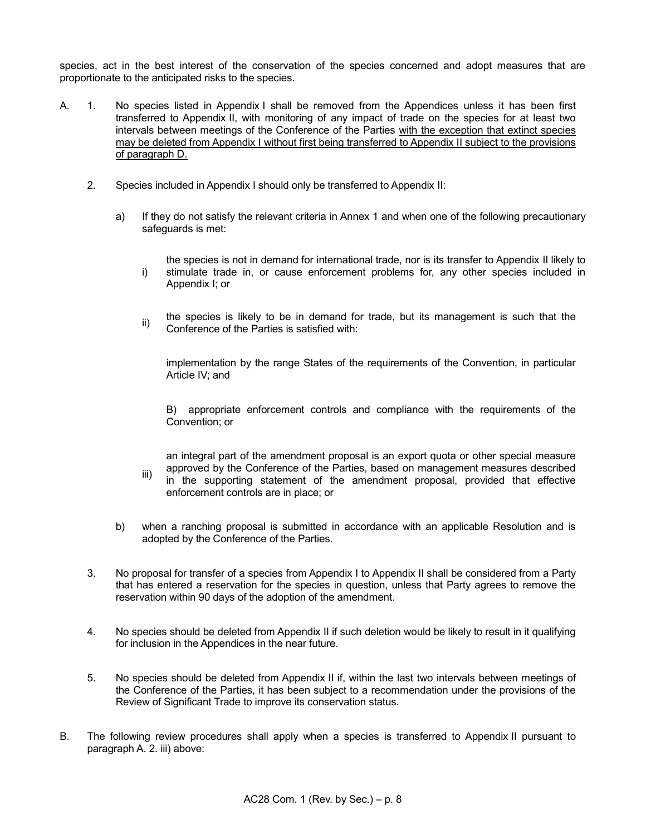species, act in the best interest of the conservation of the species concerned and adopt measures that are proportionate to the anticipated risks to the species.

- A. 1. No species listed in Appendix I shall be removed from the Appendices unless it has been first transferred to Appendix II, with monitoring of any impact of trade on the species for at least two intervals between meetings of the Conference of the Parties with the exception that extinct species may be deleted from Appendix I without first being transferred to Appendix II subject to the provisions of paragraph D.
	- 2. Species included in Appendix I should only be transferred to Appendix II:
		- a) If they do not satisfy the relevant criteria in Annex 1 and when one of the following precautionary safeguards is met:
			- i) the species is not in demand for international trade, nor is its transfer to Appendix II likely to stimulate trade in, or cause enforcement problems for, any other species included in Appendix I; or
			- ii) the species is likely to be in demand for trade, but its management is such that the Conference of the Parties is satisfied with:

implementation by the range States of the requirements of the Convention, in particular Article IV; and

B) appropriate enforcement controls and compliance with the requirements of the Convention; or

iii) an integral part of the amendment proposal is an export quota or other special measure approved by the Conference of the Parties, based on management measures described in the supporting statement of the amendment proposal, provided that effective enforcement controls are in place; or

- b) when a ranching proposal is submitted in accordance with an applicable Resolution and is adopted by the Conference of the Parties.
- 3. No proposal for transfer of a species from Appendix I to Appendix II shall be considered from a Party that has entered a reservation for the species in question, unless that Party agrees to remove the reservation within 90 days of the adoption of the amendment.
- 4. No species should be deleted from Appendix II if such deletion would be likely to result in it qualifying for inclusion in the Appendices in the near future.
- 5. No species should be deleted from Appendix II if, within the last two intervals between meetings of the Conference of the Parties, it has been subject to a recommendation under the provisions of the Review of Significant Trade to improve its conservation status.
- B. The following review procedures shall apply when a species is transferred to Appendix II pursuant to paragraph A. 2. iii) above: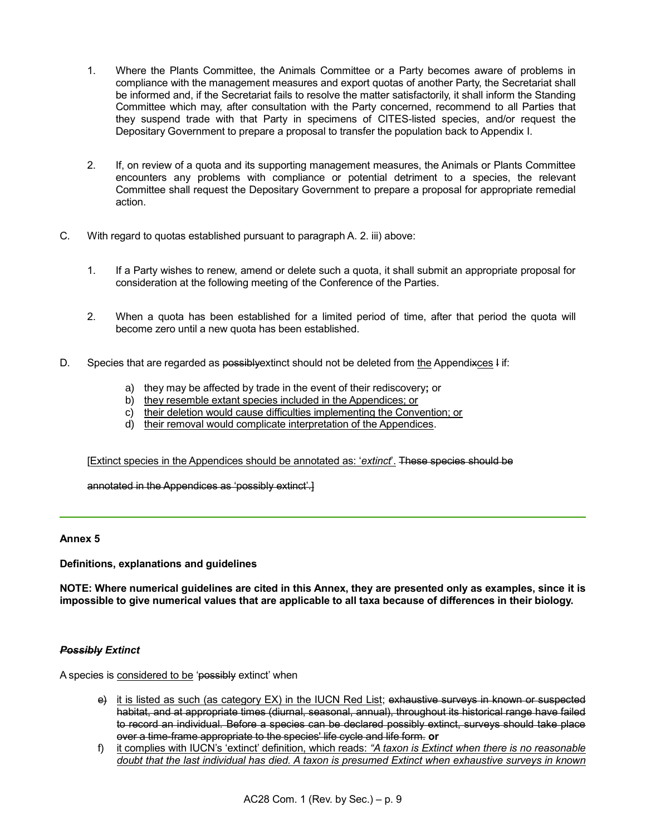- 1. Where the Plants Committee, the Animals Committee or a Party becomes aware of problems in compliance with the management measures and export quotas of another Party, the Secretariat shall be informed and, if the Secretariat fails to resolve the matter satisfactorily, it shall inform the Standing Committee which may, after consultation with the Party concerned, recommend to all Parties that they suspend trade with that Party in specimens of CITES-listed species, and/or request the Depositary Government to prepare a proposal to transfer the population back to Appendix I.
- 2. If, on review of a quota and its supporting management measures, the Animals or Plants Committee encounters any problems with compliance or potential detriment to a species, the relevant Committee shall request the Depositary Government to prepare a proposal for appropriate remedial action.
- C. With regard to quotas established pursuant to paragraph A. 2. iii) above:
	- 1. If a Party wishes to renew, amend or delete such a quota, it shall submit an appropriate proposal for consideration at the following meeting of the Conference of the Parties.
	- 2. When a quota has been established for a limited period of time, after that period the quota will become zero until a new quota has been established.
- D. Species that are regarded as possibly extinct should not be deleted from the Appendixces I if:
	- a) they may be affected by trade in the event of their rediscovery**;** or
	- b) they resemble extant species included in the Appendices; or
	- c) their deletion would cause difficulties implementing the Convention; or
	- d) their removal would complicate interpretation of the Appendices.

[Extinct species in the Appendices should be annotated as: '*extinct*'. These species should be

annotated in the Appendices as 'possibly extinct'.]

# **Annex 5**

# **Definitions, explanations and guidelines**

**NOTE: Where numerical guidelines are cited in this Annex, they are presented only as examples, since it is impossible to give numerical values that are applicable to all taxa because of differences in their biology.**

# *Possibly Extinct*

A species is considered to be 'possibly extinct' when

- e) it is listed as such (as category EX) in the IUCN Red List; exhaustive surveys in known or suspected habitat, and at appropriate times (diurnal, seasonal, annual), throughout its historical range have failed to record an individual. Before a species can be declared possibly extinct, surveys should take place over a time-frame appropriate to the species' life cycle and life form. **or**
- f) it complies with IUCN's 'extinct' definition, which reads: *"A taxon is Extinct when there is no reasonable doubt that the last individual has died. A taxon is presumed Extinct when exhaustive surveys in known*